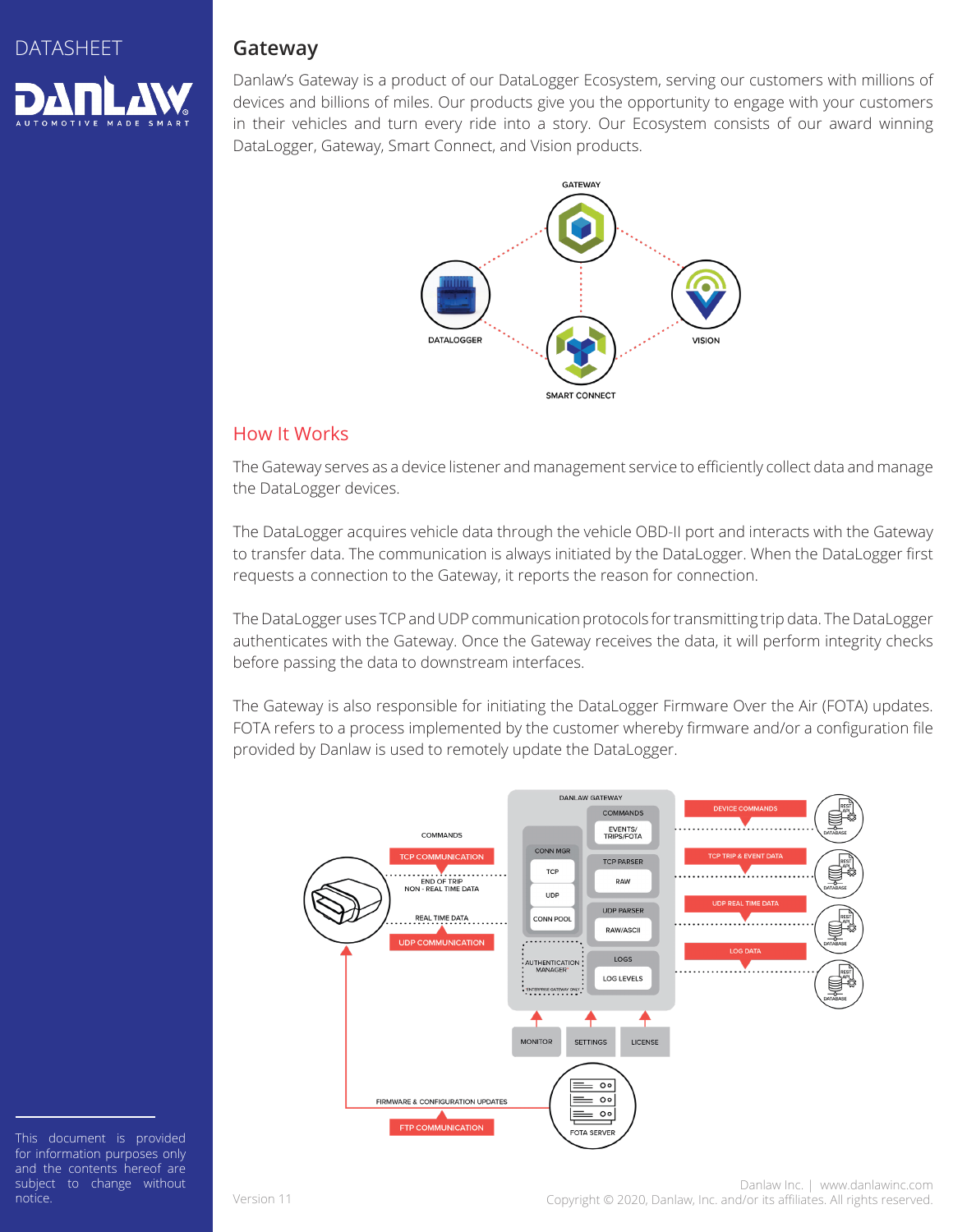

# **Gateway**

Danlaw's Gateway is a product of our DataLogger Ecosystem, serving our customers with millions of devices and billions of miles. Our products give you the opportunity to engage with your customers in their vehicles and turn every ride into a story. Our Ecosystem consists of our award winning DataLogger, Gateway, Smart Connect, and Vision products.



## How It Works

The Gateway serves as a device listener and management service to efficiently collect data and manage the DataLogger devices.

The DataLogger acquires vehicle data through the vehicle OBD-II port and interacts with the Gateway to transfer data. The communication is always initiated by the DataLogger. When the DataLogger first requests a connection to the Gateway, it reports the reason for connection.

The DataLogger uses TCP and UDP communication protocols for transmitting trip data. The DataLogger authenticates with the Gateway. Once the Gateway receives the data, it will perform integrity checks before passing the data to downstream interfaces.

The Gateway is also responsible for initiating the DataLogger Firmware Over the Air (FOTA) updates. FOTA refers to a process implemented by the customer whereby firmware and/or a configuration file provided by Danlaw is used to remotely update the DataLogger.



This document is provided for information purposes only and the contents hereof are subject to change without notice.